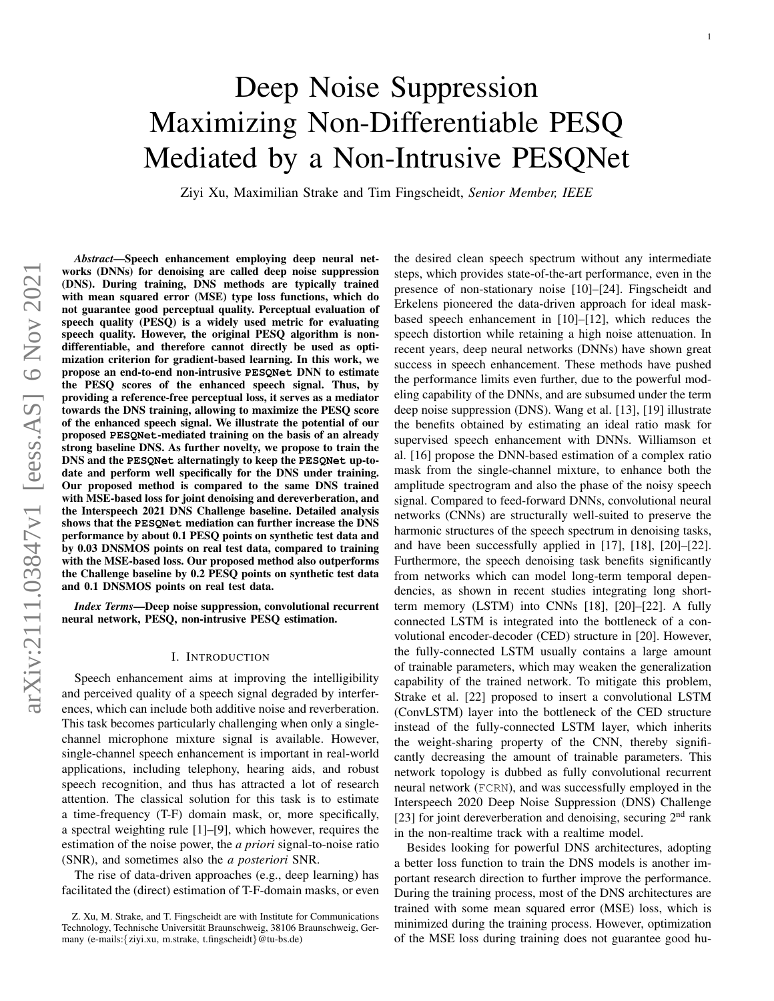# <span id="page-0-0"></span>Deep Noise Suppression Maximizing Non-Differentiable PESQ Mediated by a Non-Intrusive PESQNet

Ziyi Xu, Maximilian Strake and Tim Fingscheidt, *Senior Member, IEEE*

*Abstract*—Speech enhancement employing deep neural networks (DNNs) for denoising are called deep noise suppression (DNS). During training, DNS methods are typically trained with mean squared error (MSE) type loss functions, which do not guarantee good perceptual quality. Perceptual evaluation of speech quality (PESQ) is a widely used metric for evaluating speech quality. However, the original PESQ algorithm is nondifferentiable, and therefore cannot directly be used as optimization criterion for gradient-based learning. In this work, we propose an end-to-end non-intrusive **PESQNet** DNN to estimate the PESQ scores of the enhanced speech signal. Thus, by providing a reference-free perceptual loss, it serves as a mediator towards the DNS training, allowing to maximize the PESQ score of the enhanced speech signal. We illustrate the potential of our proposed **PESQNet**-mediated training on the basis of an already strong baseline DNS. As further novelty, we propose to train the DNS and the **PESQNet** alternatingly to keep the **PESQNet** up-todate and perform well specifically for the DNS under training. Our proposed method is compared to the same DNS trained with MSE-based loss for joint denoising and dereverberation, and the Interspeech 2021 DNS Challenge baseline. Detailed analysis shows that the **PESQNet** mediation can further increase the DNS performance by about 0.1 PESQ points on synthetic test data and by 0.03 DNSMOS points on real test data, compared to training with the MSE-based loss. Our proposed method also outperforms the Challenge baseline by 0.2 PESQ points on synthetic test data and 0.1 DNSMOS points on real test data.

*Index Terms*—Deep noise suppression, convolutional recurrent neural network, PESQ, non-intrusive PESQ estimation.

## I. INTRODUCTION

Speech enhancement aims at improving the intelligibility and perceived quality of a speech signal degraded by interferences, which can include both additive noise and reverberation. This task becomes particularly challenging when only a singlechannel microphone mixture signal is available. However, single-channel speech enhancement is important in real-world applications, including telephony, hearing aids, and robust speech recognition, and thus has attracted a lot of research attention. The classical solution for this task is to estimate a time-frequency (T-F) domain mask, or, more specifically, a spectral weighting rule [\[1\]](#page-11-0)–[\[9\]](#page-11-1), which however, requires the estimation of the noise power, the *a priori* signal-to-noise ratio (SNR), and sometimes also the *a posteriori* SNR.

The rise of data-driven approaches (e.g., deep learning) has facilitated the (direct) estimation of T-F-domain masks, or even the desired clean speech spectrum without any intermediate steps, which provides state-of-the-art performance, even in the presence of non-stationary noise [\[10\]](#page-11-2)–[\[24\]](#page-12-0). Fingscheidt and Erkelens pioneered the data-driven approach for ideal maskbased speech enhancement in [\[10\]](#page-11-2)–[\[12\]](#page-11-3), which reduces the speech distortion while retaining a high noise attenuation. In recent years, deep neural networks (DNNs) have shown great success in speech enhancement. These methods have pushed the performance limits even further, due to the powerful modeling capability of the DNNs, and are subsumed under the term deep noise suppression (DNS). Wang et al. [\[13\]](#page-11-4), [\[19\]](#page-12-1) illustrate the benefits obtained by estimating an ideal ratio mask for supervised speech enhancement with DNNs. Williamson et al. [\[16\]](#page-12-2) propose the DNN-based estimation of a complex ratio mask from the single-channel mixture, to enhance both the amplitude spectrogram and also the phase of the noisy speech signal. Compared to feed-forward DNNs, convolutional neural networks (CNNs) are structurally well-suited to preserve the harmonic structures of the speech spectrum in denoising tasks, and have been successfully applied in [\[17\]](#page-12-3), [\[18\]](#page-12-4), [\[20\]](#page-12-5)–[\[22\]](#page-12-6). Furthermore, the speech denoising task benefits significantly from networks which can model long-term temporal dependencies, as shown in recent studies integrating long shortterm memory (LSTM) into CNNs [\[18\]](#page-12-4), [\[20\]](#page-12-5)–[\[22\]](#page-12-6). A fully connected LSTM is integrated into the bottleneck of a convolutional encoder-decoder (CED) structure in [\[20\]](#page-12-5). However, the fully-connected LSTM usually contains a large amount of trainable parameters, which may weaken the generalization capability of the trained network. To mitigate this problem, Strake et al. [\[22\]](#page-12-6) proposed to insert a convolutional LSTM (ConvLSTM) layer into the bottleneck of the CED structure instead of the fully-connected LSTM layer, which inherits the weight-sharing property of the CNN, thereby significantly decreasing the amount of trainable parameters. This network topology is dubbed as fully convolutional recurrent neural network (FCRN), and was successfully employed in the Interspeech 2020 Deep Noise Suppression (DNS) Challenge [\[23\]](#page-12-7) for joint dereverberation and denoising, securing  $2<sup>nd</sup>$  rank in the non-realtime track with a realtime model.

Besides looking for powerful DNS architectures, adopting a better loss function to train the DNS models is another important research direction to further improve the performance. During the training process, most of the DNS architectures are trained with some mean squared error (MSE) loss, which is minimized during the training process. However, optimization of the MSE loss during training does not guarantee good hu-

Z. Xu, M. Strake, and T. Fingscheidt are with Institute for Communications Technology, Technische Universität Braunschweig, 38106 Braunschweig, Germany (e-mails:{ziyi.xu, m.strake, t.fingscheidt}@tu-bs.de)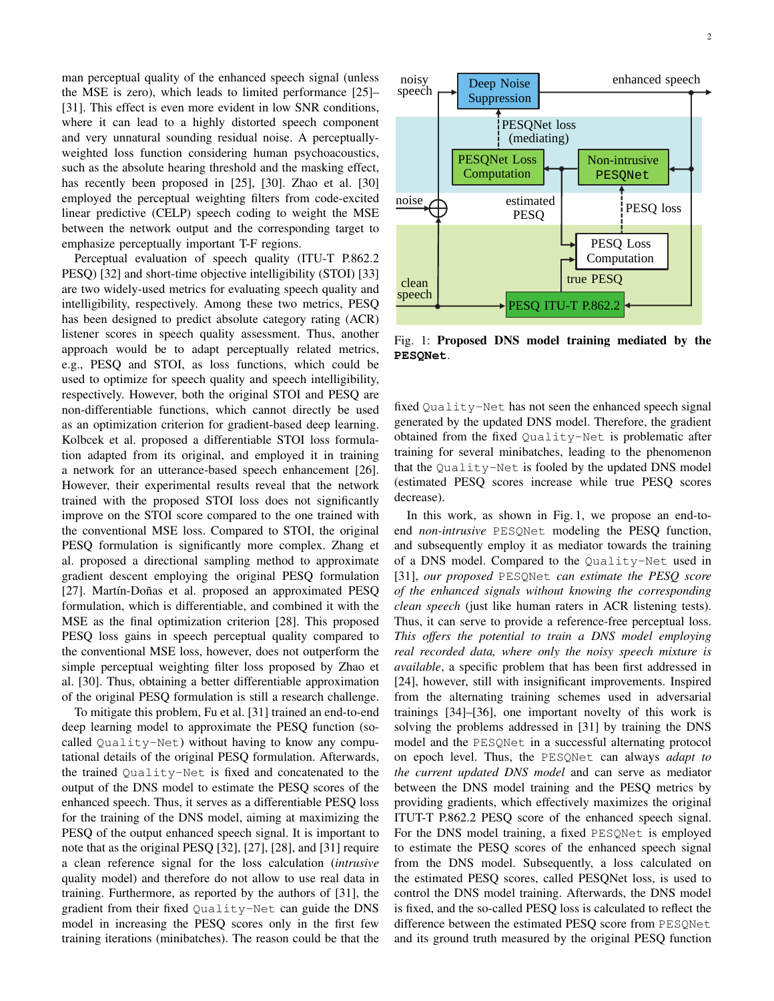man perceptual quality of the enhanced speech signal (unless the MSE is zero), which leads to limited performance [\[25\]](#page-12-8)– [\[31\]](#page-12-9). This effect is even more evident in low SNR conditions, where it can lead to a highly distorted speech component and very unnatural sounding residual noise. A perceptuallyweighted loss function considering human psychoacoustics, such as the absolute hearing threshold and the masking effect, has recently been proposed in [\[25\]](#page-12-8), [\[30\]](#page-12-10). Zhao et al. [30] employed the perceptual weighting filters from code-excited linear predictive (CELP) speech coding to weight the MSE between the network output and the corresponding target to emphasize perceptually important T-F regions.

Perceptual evaluation of speech quality (ITU-T P.862.2 PESQ) [\[32\]](#page-12-11) and short-time objective intelligibility (STOI) [\[33\]](#page-12-12) are two widely-used metrics for evaluating speech quality and intelligibility, respectively. Among these two metrics, PESQ has been designed to predict absolute category rating (ACR) listener scores in speech quality assessment. Thus, another approach would be to adapt perceptually related metrics, e.g., PESQ and STOI, as loss functions, which could be used to optimize for speech quality and speech intelligibility, respectively. However, both the original STOI and PESQ are non-differentiable functions, which cannot directly be used as an optimization criterion for gradient-based deep learning. Kolbcek et al. proposed a differentiable STOI loss formulation adapted from its original, and employed it in training a network for an utterance-based speech enhancement [\[26\]](#page-12-13). However, their experimental results reveal that the network trained with the proposed STOI loss does not significantly improve on the STOI score compared to the one trained with the conventional MSE loss. Compared to STOI, the original PESQ formulation is significantly more complex. Zhang et al. proposed a directional sampling method to approximate gradient descent employing the original PESQ formulation [\[27\]](#page-12-14). Martín-Doñas et al. proposed an approximated PESQ formulation, which is differentiable, and combined it with the MSE as the final optimization criterion [\[28\]](#page-12-15). This proposed PESQ loss gains in speech perceptual quality compared to the conventional MSE loss, however, does not outperform the simple perceptual weighting filter loss proposed by Zhao et al. [\[30\]](#page-12-10). Thus, obtaining a better differentiable approximation of the original PESQ formulation is still a research challenge.

To mitigate this problem, Fu et al. [\[31\]](#page-12-9) trained an end-to-end deep learning model to approximate the PESQ function (socalled Quality-Net) without having to know any computational details of the original PESQ formulation. Afterwards, the trained Quality-Net is fixed and concatenated to the output of the DNS model to estimate the PESQ scores of the enhanced speech. Thus, it serves as a differentiable PESQ loss for the training of the DNS model, aiming at maximizing the PESQ of the output enhanced speech signal. It is important to note that as the original PESQ [\[32\]](#page-12-11), [\[27\]](#page-12-14), [\[28\]](#page-12-15), and [\[31\]](#page-12-9) require a clean reference signal for the loss calculation (*intrusive* quality model) and therefore do not allow to use real data in training. Furthermore, as reported by the authors of [\[31\]](#page-12-9), the gradient from their fixed Quality-Net can guide the DNS model in increasing the PESQ scores only in the first few training iterations (minibatches). The reason could be that the

<span id="page-1-0"></span>

Fig. 1: Proposed DNS model training mediated by the **PESQNet**.

fixed Quality-Net has not seen the enhanced speech signal generated by the updated DNS model. Therefore, the gradient obtained from the fixed Quality-Net is problematic after training for several minibatches, leading to the phenomenon that the Quality-Net is fooled by the updated DNS model (estimated PESQ scores increase while true PESQ scores decrease).

In this work, as shown in Fig. [1,](#page-1-0) we propose an end-toend *non-intrusive* PESQNet modeling the PESQ function, and subsequently employ it as mediator towards the training of a DNS model. Compared to the Quality-Net used in [\[31\]](#page-12-9), *our proposed* PESQNet *can estimate the PESQ score of the enhanced signals without knowing the corresponding clean speech* (just like human raters in ACR listening tests). Thus, it can serve to provide a reference-free perceptual loss. *This offers the potential to train a DNS model employing real recorded data, where only the noisy speech mixture is available*, a specific problem that has been first addressed in [\[24\]](#page-12-0), however, still with insignificant improvements. Inspired from the alternating training schemes used in adversarial trainings [\[34\]](#page-12-16)–[\[36\]](#page-12-17), one important novelty of this work is solving the problems addressed in [\[31\]](#page-12-9) by training the DNS model and the PESQNet in a successful alternating protocol on epoch level. Thus, the PESQNet can always *adapt to the current updated DNS model* and can serve as mediator between the DNS model training and the PESQ metrics by providing gradients, which effectively maximizes the original ITUT-T P.862.2 PESQ score of the enhanced speech signal. For the DNS model training, a fixed PESQNet is employed to estimate the PESQ scores of the enhanced speech signal from the DNS model. Subsequently, a loss calculated on the estimated PESQ scores, called PESQNet loss, is used to control the DNS model training. Afterwards, the DNS model is fixed, and the so-called PESQ loss is calculated to reflect the difference between the estimated PESQ score from PESQNet and its ground truth measured by the original PESQ function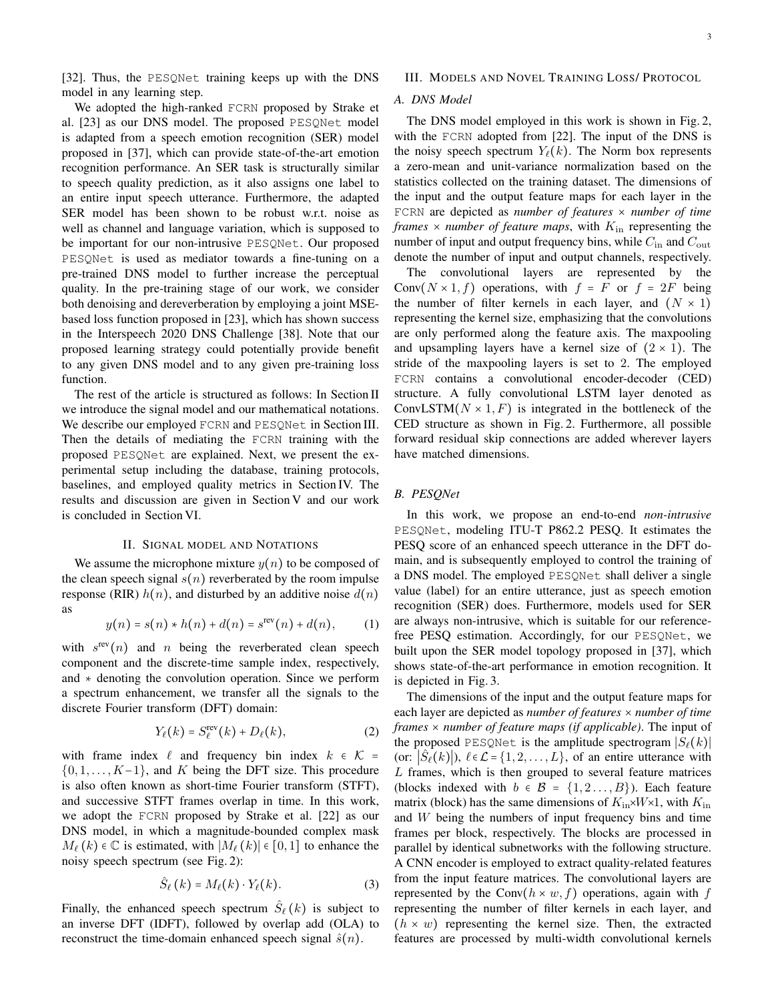[\[32\]](#page-12-11). Thus, the PESQNet training keeps up with the DNS model in any learning step.

We adopted the high-ranked FCRN proposed by Strake et al. [\[23\]](#page-12-7) as our DNS model. The proposed PESQNet model is adapted from a speech emotion recognition (SER) model proposed in [\[37\]](#page-12-18), which can provide state-of-the-art emotion recognition performance. An SER task is structurally similar to speech quality prediction, as it also assigns one label to an entire input speech utterance. Furthermore, the adapted SER model has been shown to be robust w.r.t. noise as well as channel and language variation, which is supposed to be important for our non-intrusive PESQNet. Our proposed PESQNet is used as mediator towards a fine-tuning on a pre-trained DNS model to further increase the perceptual quality. In the pre-training stage of our work, we consider both denoising and dereverberation by employing a joint MSEbased loss function proposed in [\[23\]](#page-12-7), which has shown success in the Interspeech 2020 DNS Challenge [\[38\]](#page-12-19). Note that our proposed learning strategy could potentially provide benefit to any given DNS model and to any given pre-training loss function.

The rest of the article is structured as follows: In Section II we introduce the signal model and our mathematical notations. We describe our employed FCRN and PESQNet in Section III. Then the details of mediating the FCRN training with the proposed PESQNet are explained. Next, we present the experimental setup including the database, training protocols, baselines, and employed quality metrics in Section IV. The results and discussion are given in Section V and our work is concluded in Section VI.

## II. SIGNAL MODEL AND NOTATIONS

We assume the microphone mixture  $y(n)$  to be composed of the clean speech signal  $s(n)$  reverberated by the room impulse response (RIR)  $h(n)$ , and disturbed by an additive noise  $d(n)$ as

$$
y(n) = s(n) * h(n) + d(n) = srev(n) + d(n),
$$
 (1)

with  $s^{\text{rev}}(n)$  and n being the reverberated clean speech component and the discrete-time sample index, respectively, and ∗ denoting the convolution operation. Since we perform a spectrum enhancement, we transfer all the signals to the discrete Fourier transform (DFT) domain:

$$
Y_{\ell}(k) = S_{\ell}^{\text{rev}}(k) + D_{\ell}(k), \tag{2}
$$

with frame index  $\ell$  and frequency bin index  $k \in \mathcal{K}$  =  $\{0, 1, \ldots, K-1\}$ , and K being the DFT size. This procedure is also often known as short-time Fourier transform (STFT), and successive STFT frames overlap in time. In this work, we adopt the FCRN proposed by Strake et al. [\[22\]](#page-12-6) as our DNS model, in which a magnitude-bounded complex mask  $M_{\ell}(k) \in \mathbb{C}$  is estimated, with  $|M_{\ell}(k)| \in [0, 1]$  to enhance the noisy speech spectrum (see Fig. [2\)](#page-3-0):

$$
\hat{S}_{\ell}(k) = M_{\ell}(k) \cdot Y_{\ell}(k). \tag{3}
$$

Finally, the enhanced speech spectrum  $\hat{S}_{\ell}(k)$  is subject to an inverse DFT (IDFT), followed by overlap add (OLA) to reconstruct the time-domain enhanced speech signal  $\hat{s}(n)$ .

## III. MODELS AND NOVEL TRAINING LOSS/ PROTOCOL

## *A. DNS Model*

The DNS model employed in this work is shown in Fig. [2,](#page-3-0) with the FCRN adopted from [\[22\]](#page-12-6). The input of the DNS is the noisy speech spectrum  $Y_{\ell}(k)$ . The Norm box represents a zero-mean and unit-variance normalization based on the statistics collected on the training dataset. The dimensions of the input and the output feature maps for each layer in the FCRN are depicted as *number of features* × *number of time frames*  $\times$  *number of feature maps*, with  $K_{\text{in}}$  representing the number of input and output frequency bins, while  $C_{\text{in}}$  and  $C_{\text{out}}$ denote the number of input and output channels, respectively.

The convolutional layers are represented by the Conv $(N \times 1, f)$  operations, with  $f = F$  or  $f = 2F$  being the number of filter kernels in each layer, and  $(N \times 1)$ representing the kernel size, emphasizing that the convolutions are only performed along the feature axis. The maxpooling and upsampling layers have a kernel size of  $(2 \times 1)$ . The stride of the maxpooling layers is set to 2. The employed FCRN contains a convolutional encoder-decoder (CED) structure. A fully convolutional LSTM layer denoted as ConvLSTM( $N \times 1, F$ ) is integrated in the bottleneck of the CED structure as shown in Fig. [2.](#page-3-0) Furthermore, all possible forward residual skip connections are added wherever layers have matched dimensions.

## *B. PESQNet*

In this work, we propose an end-to-end *non-intrusive* PESQNet, modeling ITU-T P862.2 PESQ. It estimates the PESQ score of an enhanced speech utterance in the DFT domain, and is subsequently employed to control the training of a DNS model. The employed PESQNet shall deliver a single value (label) for an entire utterance, just as speech emotion recognition (SER) does. Furthermore, models used for SER are always non-intrusive, which is suitable for our referencefree PESQ estimation. Accordingly, for our PESQNet, we built upon the SER model topology proposed in [\[37\]](#page-12-18), which shows state-of-the-art performance in emotion recognition. It is depicted in Fig. [3.](#page-3-1)

The dimensions of the input and the output feature maps for each layer are depicted as *number of features* × *number of time frames* × *number of feature maps (if applicable)*. The input of the proposed PESQNet is the amplitude spectrogram  $|S_{\ell}(k)|$ (or:  $|\hat{S}_{\ell}(k)|$ ),  $\ell \in \mathcal{L} = \{1, 2, ..., L\}$ , of an entire utterance with L frames, which is then grouped to several feature matrices (blocks indexed with  $b \in \mathcal{B} = \{1, 2, \ldots, B\}$ ). Each feature matrix (block) has the same dimensions of  $K_{\text{in}} \times W \times 1$ , with  $K_{\text{in}}$ and W being the numbers of input frequency bins and time frames per block, respectively. The blocks are processed in parallel by identical subnetworks with the following structure. A CNN encoder is employed to extract quality-related features from the input feature matrices. The convolutional layers are represented by the Conv $(h \times w, f)$  operations, again with f representing the number of filter kernels in each layer, and  $(h \times w)$  representing the kernel size. Then, the extracted features are processed by multi-width convolutional kernels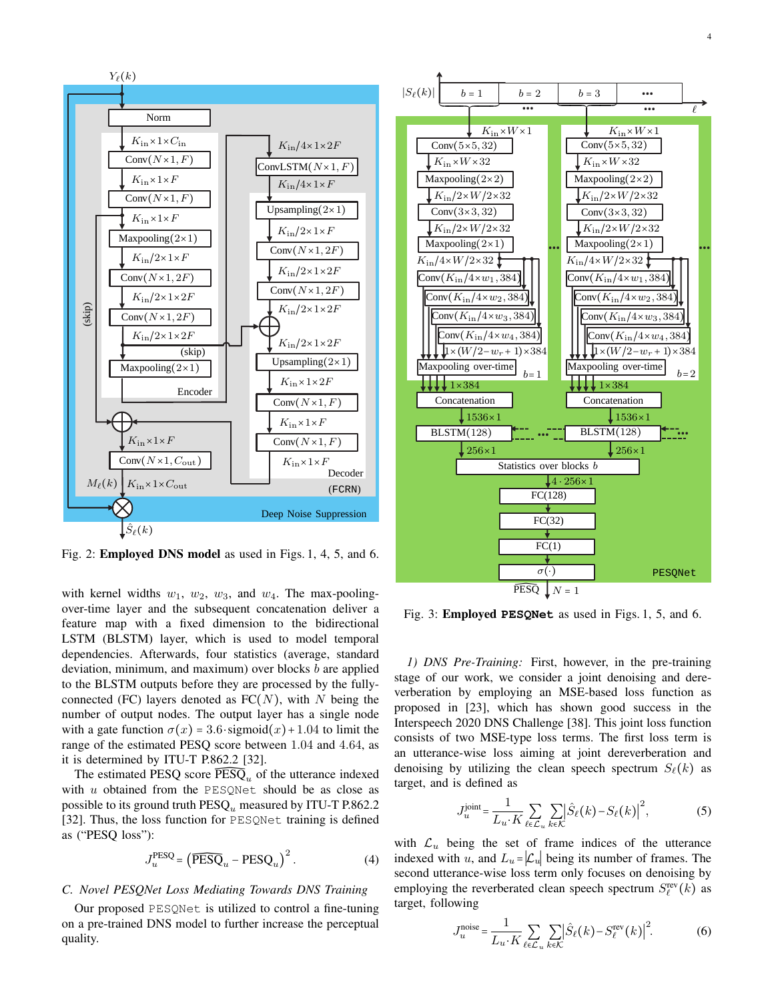<span id="page-3-0"></span>

Fig. 2: **Employed D[N](#page-4-0)S model** as used in Figs[. 1](#page-4-2), 4, 5, and 6.

feature map with a fixed dimension to the bidirectional deviation, minimum, and maximum) over blocks *b* are applied with kernel widths  $w_1$ ,  $w_2$ ,  $w_3$ , and  $w_4$ . The max-poolingover-time layer and the subsequent concatenation deliver a LSTM (BLSTM) layer, which is used to model temporal dependencies. Afterwards, four statistics (average, standard to the BLSTM outputs before they are processed by the fullyconnected (FC) layers denoted as  $FC(N)$ , with N being the number of output nodes. The output layer has a single node with a gate function  $\sigma(x) = 3.6 \cdot \text{sigmoid}(x) + 1.04$  to limit the range of the estimated PESQ score between 1.04 and 4.64, as it is determined by ITU-T P.862.2 [\[32\]](#page-12-11).

with  $u$  obtained from the PESQNet should be as close as The estimated PESQ score  $\widetilde{\text{PESQ}}_u$  of the utterance indexed possible to its ground truth  $\text{PESQ}_u$  measured by ITU-T P.862.2 [\[32\]](#page-12-11). Thus, the loss function for PESQNet training is defined as ("PESQ loss"):

<span id="page-3-4"></span>
$$
J_u^{\text{PESQ}} = (\widehat{\text{PESQ}}_u - \text{PESQ}_u)^2.
$$
 (4)

## *C. Novel PESQNet Loss Mediating Towards DNS Training*

**B. Training Protocols** PESQNet is utilized to control a fine-tuning Protocols *1) PESQNet Training:* quality. on a pre-trained DNS model to further increase the perceptual *1) PESQNet Training:*

<span id="page-3-1"></span>

Fig. 3: **Employed PESQ[Ne](#page-4-2)t** as used in Figs. 1, 5, and 6.

*L. D. DNS Pre-Training:* First, however, in the pre-training stage of our work, we consider a joint denoising and dereverberation by employing an MSE-based loss function as proposed in [\[23\]](#page-12-7), which has shown good success in the Interspeech 2020 DNS Challenge [\[38\]](#page-12-19). This joint loss function consists of two MSE-type loss terms. The first loss term is an utterance-wise loss aiming at joint dereverberation and denoising by utilizing the clean speech spectrum  $S_{\ell}(k)$  as target, and is defined as

<span id="page-3-2"></span>
$$
J_u^{\text{joint}} = \frac{1}{L_u \cdot K} \sum_{\ell \in \mathcal{L}_u} \sum_{k \in \mathcal{K}} \left| \hat{S}_{\ell}(k) - S_{\ell}(k) \right|^2, \tag{5}
$$

with  $\mathcal{L}_u$  being the set of frame indices of the utterance indexed with u, and  $L_u = |\mathcal{L}_u|$  being its number of frames. The second utterance-wise loss term only focuses on denoising by employing the reverberated clean speech spectrum  $S_{\ell}^{\text{rev}}(k)$  as target, following

<span id="page-3-3"></span>
$$
J_u^{\text{noise}} = \frac{1}{L_u \cdot K} \sum_{\ell \in \mathcal{L}_u} \sum_{k \in \mathcal{K}} \left| \hat{S}_{\ell}(k) - S_{\ell}^{\text{rev}}(k) \right|^2. \tag{6}
$$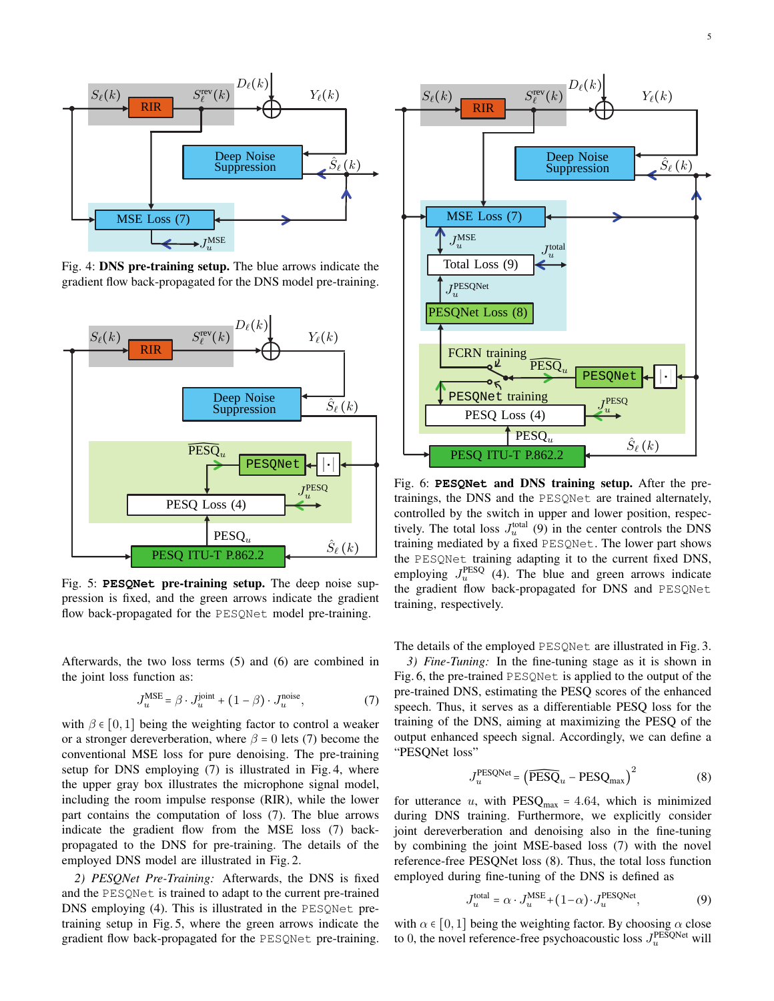<span id="page-4-0"></span>

Fig. 4: **DNS pre-training setup.** The blue arrows indicate the condition flow healt are recorded for the DNS model are training. gradient flow back-propagated for the DNS model pre-training.

<span id="page-4-1"></span>

Fig. 5: PESQNet pre-training setup. The deep noise suppression is fixed, and the green arrows indicate the gradient flow back-propagated for the PESQNet model pre-training.

Afterwards, the two loss terms  $(5)$  and  $(6)$  are combined in the joint loss function as:

<span id="page-4-3"></span>
$$
J_u^{\text{MSE}} = \beta \cdot J_u^{\text{joint}} + (1 - \beta) \cdot J_u^{\text{noise}},\tag{7}
$$
  
being the weighting factor to control a weaker

with  $\beta \in [0, 1]$  being the weighting factor to control a weaker or a stronger dereverberation, where  $\beta = 0$  lets [\(7\)](#page-4-3) become the conventional MSE loss for pure denoising. The pre-training setup for DNS employing [\(7\)](#page-4-3) is illustrated in Fig. [4,](#page-4-0) where the upper gray box illustrates the microphone signal model, including the room impulse response (RIR), while the lower part contains the computation of loss (7). The blue arrows indicate the gradient flow from the MSE loss [\(7\)](#page-4-3) backpropagated to the DNS for pre-training. The details of the employed DNS model are illustrated in Fig. [2.](#page-3-0)

*2) PESQNet Pre-Training:* Afterwards, the DNS is fixed and the PESQNet is trained to adapt to the current pre-trained DNS employing [\(4\)](#page-3-4). This is illustrated in the PESQNet pretraining setup in Fig. [5,](#page-4-1) where the green arrows indicate the gradient flow back-propagated for the PESQNet pre-training.

<span id="page-4-2"></span>

Fig. 6: PESQNet and DNS training setup. After the pretrainings, the DNS and the PESQNet are trained alternately, controlled by the switch in upper and lower position, respectively. The total loss  $J_u^{\text{total}}$  [\(9\)](#page-4-4) in the center controls the DNS training mediated by a fixed PESQNet. The lower part shows the PESQNet training adapting it to the current fixed DNS, employing  $J_u^{\text{PESQ}}$  [\(4\)](#page-3-4). The blue and green arrows indicate the gradient flow back-propagated for DNS and PESQNet training, respectively.

The details of the employed PESQNet are illustrated in Fig. [3.](#page-3-1)

et is applied<br>USBECO pre-trained DNS, estimating the PESQ scores of the enhanced output enhanced speech signal. Accordingly, we can define a *3) Fine-Tuning:* In the fine-tuning stage as it is shown in Fig. [6,](#page-4-2) the pre-trained PESQNet is applied to the output of the speech. Thus, it serves as a differentiable PESQ loss for the training of the DNS, aiming at maximizing the PESQ of the "PESQNet loss"

<span id="page-4-5"></span>
$$
J_u^{\text{PESQNet}} = (\widehat{\text{PESQ}}_u - \text{PESQ}_{\text{max}})^2
$$
 (8)

by combining the joint MSE-based loss  $(7)$  with the novel  $\frac{1}{2}$  ine-ture during DNS training. Furthermore, we explicitly consider<br>joint dereverberation and denoising also in the fine-tuning employed during fine-tuning of the DNS is defined as for utterance u, with  $PESQ_{max} = 4.64$ , which is minimized during DNS training. Furthermore, we explicitly consider reference-free PESQNet loss [\(8\)](#page-4-5). Thus, the total loss function

<span id="page-4-4"></span>
$$
J_u^{\text{total}} = \alpha \cdot J_u^{\text{MSE}} + (1 - \alpha) \cdot J_u^{\text{PESQNet}},\tag{9}
$$

with  $\alpha \in [0, 1]$  being the weighting factor. By choosing  $\alpha$  close to 0, the novel reference-free psychoacoustic loss  $J_u^{\text{PESQNet}}$  will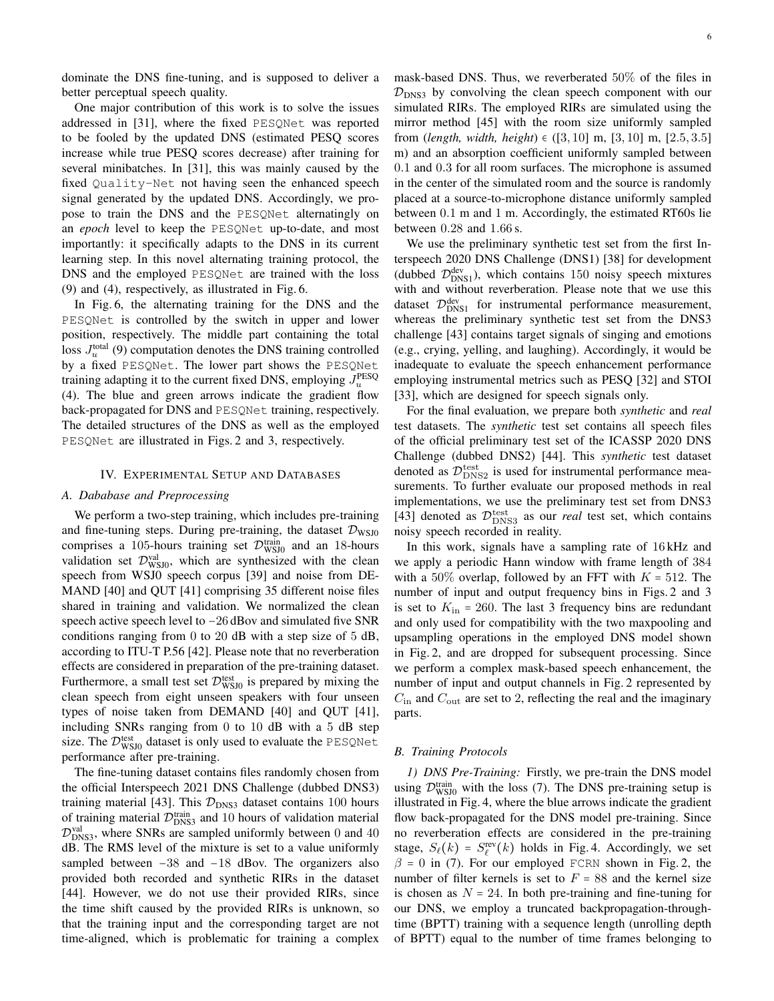dominate the DNS fine-tuning, and is supposed to deliver a better perceptual speech quality.

One major contribution of this work is to solve the issues addressed in [\[31\]](#page-12-9), where the fixed PESQNet was reported to be fooled by the updated DNS (estimated PESQ scores increase while true PESQ scores decrease) after training for several minibatches. In [\[31\]](#page-12-9), this was mainly caused by the fixed Quality-Net not having seen the enhanced speech signal generated by the updated DNS. Accordingly, we propose to train the DNS and the PESQNet alternatingly on an *epoch* level to keep the PESQNet up-to-date, and most importantly: it specifically adapts to the DNS in its current learning step. In this novel alternating training protocol, the DNS and the employed PESQNet are trained with the loss [\(9\)](#page-4-4) and [\(4\)](#page-3-4), respectively, as illustrated in Fig. [6.](#page-4-2)

In Fig. [6,](#page-4-2) the alternating training for the DNS and the PESQNet is controlled by the switch in upper and lower position, respectively. The middle part containing the total loss  $J_u^{\text{total}}$  [\(9\)](#page-4-4) computation denotes the DNS training controlled by a fixed PESQNet. The lower part shows the PESQNet training adapting it to the current fixed DNS, employing  $J_u^{\rm PESQ}$ [\(4\)](#page-3-4). The blue and green arrows indicate the gradient flow back-propagated for DNS and PESQNet training, respectively. The detailed structures of the DNS as well as the employed PESQNet are illustrated in Figs. [2](#page-3-0) and [3,](#page-3-1) respectively.

## IV. EXPERIMENTAL SETUP AND DATABASES

## *A. Dababase and Preprocessing*

We perform a two-step training, which includes pre-training and fine-tuning steps. During pre-training, the dataset  $\mathcal{D}_{\text{WSJ0}}$ comprises a 105-hours training set  $\mathcal{D}_{\text{WSJ0}}^{\text{train}}$  and an 18-hours validation set  $\mathcal{D}_{\text{WSJ0}}^{\text{val}}$ , which are synthesized with the clean speech from WSJ0 speech corpus [\[39\]](#page-12-20) and noise from DE-MAND [\[40\]](#page-12-21) and QUT [\[41\]](#page-12-22) comprising 35 different noise files shared in training and validation. We normalized the clean speech active speech level to −26 dBov and simulated five SNR conditions ranging from 0 to 20 dB with a step size of 5 dB, according to ITU-T P.56 [\[42\]](#page-12-23). Please note that no reverberation effects are considered in preparation of the pre-training dataset. Furthermore, a small test set  $\mathcal{D}_{\text{WSJ0}}^{\text{test}}$  is prepared by mixing the clean speech from eight unseen speakers with four unseen types of noise taken from DEMAND [\[40\]](#page-12-21) and QUT [\[41\]](#page-12-22), including SNRs ranging from 0 to 10 dB with a 5 dB step size. The  $\mathcal{D}_{\text{WSJ0}}^{\text{test}}$  dataset is only used to evaluate the PESQNet performance after pre-training.

The fine-tuning dataset contains files randomly chosen from the official Interspeech 2021 DNS Challenge (dubbed DNS3) training material [\[43\]](#page-12-24). This  $\mathcal{D}_{\text{DNS3}}$  dataset contains 100 hours of training material  $\mathcal{D}_{\text{DNS3}}^{\text{train}}$  and 10 hours of validation material  $D_{\text{DNS3}}^{\text{val}}$ , where SNRs are sampled uniformly between 0 and 40 dB. The RMS level of the mixture is set to a value uniformly sampled between −38 and −18 dBov. The organizers also provided both recorded and synthetic RIRs in the dataset [\[44\]](#page-12-25). However, we do not use their provided RIRs, since the time shift caused by the provided RIRs is unknown, so that the training input and the corresponding target are not time-aligned, which is problematic for training a complex mask-based DNS. Thus, we reverberated 50% of the files in  $\mathcal{D}_{\text{DNS3}}$  by convolving the clean speech component with our simulated RIRs. The employed RIRs are simulated using the mirror method [\[45\]](#page-12-26) with the room size uniformly sampled from (*length, width, height*)  $\in$  ([3,10] m, [3,10] m, [2.5,3.5] m) and an absorption coefficient uniformly sampled between 0.1 and 0.3 for all room surfaces. The microphone is assumed in the center of the simulated room and the source is randomly placed at a source-to-microphone distance uniformly sampled between 0.1 m and 1 m. Accordingly, the estimated RT60s lie between 0.28 and 1.66 s.

We use the preliminary synthetic test set from the first Interspeech 2020 DNS Challenge (DNS1) [\[38\]](#page-12-19) for development (dubbed  $\mathcal{D}_{\text{DNS1}}^{\text{dev}}$ ), which contains 150 noisy speech mixtures with and without reverberation. Please note that we use this dataset  $\mathcal{D}_{\text{DNS1}}^{\text{dev}}$  for instrumental performance measurement, whereas the preliminary synthetic test set from the DNS3 challenge [\[43\]](#page-12-24) contains target signals of singing and emotions (e.g., crying, yelling, and laughing). Accordingly, it would be inadequate to evaluate the speech enhancement performance employing instrumental metrics such as PESQ [\[32\]](#page-12-11) and STOI [\[33\]](#page-12-12), which are designed for speech signals only.

For the final evaluation, we prepare both *synthetic* and *real* test datasets. The *synthetic* test set contains all speech files of the official preliminary test set of the ICASSP 2020 DNS Challenge (dubbed DNS2) [\[44\]](#page-12-25). This *synthetic* test dataset denoted as  $\mathcal{D}_{\text{DNS2}}^{\text{test}}$  is used for instrumental performance measurements. To further evaluate our proposed methods in real implementations, we use the preliminary test set from DNS3 [\[43\]](#page-12-24) denoted as  $\mathcal{D}_{\text{DNS3}}^{\text{test}}$  as our *real* test set, which contains noisy speech recorded in reality.

In this work, signals have a sampling rate of 16 kHz and we apply a periodic Hann window with frame length of 384 with a 50% overlap, followed by an FFT with  $K = 512$ . The number of input and output frequency bins in Figs. [2](#page-3-0) and [3](#page-3-1) is set to  $K_{\text{in}} = 260$ . The last 3 frequency bins are redundant and only used for compatibility with the two maxpooling and upsampling operations in the employed DNS model shown in Fig. [2,](#page-3-0) and are dropped for subsequent processing. Since we perform a complex mask-based speech enhancement, the number of input and output channels in Fig. [2](#page-3-0) represented by  $C_{\text{in}}$  and  $C_{\text{out}}$  are set to 2, reflecting the real and the imaginary parts.

## *B. Training Protocols*

*1) DNS Pre-Training:* Firstly, we pre-train the DNS model using  $\mathcal{D}_{\text{WSJ0}}^{\text{train}}$  with the loss [\(7\)](#page-4-3). The DNS pre-training setup is illustrated in Fig. [4,](#page-4-0) where the blue arrows indicate the gradient flow back-propagated for the DNS model pre-training. Since no reverberation effects are considered in the pre-training stage,  $S_{\ell}(k) = S_{\ell}^{\text{rev}}(k)$  holds in Fig. [4.](#page-4-0) Accordingly, we set  $\beta = 0$  in [\(7\)](#page-4-3). For our employed FCRN shown in Fig. [2,](#page-3-0) the number of filter kernels is set to  $F = 88$  and the kernel size is chosen as  $N = 24$ . In both pre-training and fine-tuning for our DNS, we employ a truncated backpropagation-throughtime (BPTT) training with a sequence length (unrolling depth of BPTT) equal to the number of time frames belonging to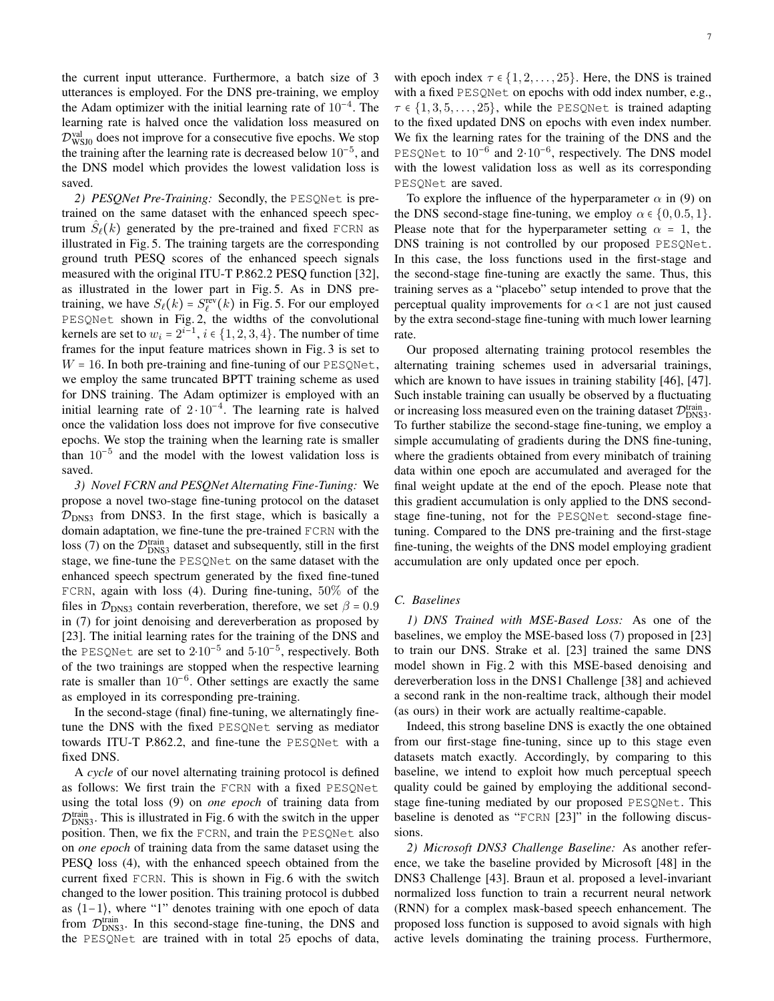the current input utterance. Furthermore, a batch size of 3 utterances is employed. For the DNS pre-training, we employ the Adam optimizer with the initial learning rate of  $10^{-4}$ . The learning rate is halved once the validation loss measured on  $D_{\text{WSJ0}}^{\text{val}}$  does not improve for a consecutive five epochs. We stop the training after the learning rate is decreased below 10−<sup>5</sup> , and the DNS model which provides the lowest validation loss is saved.

*2) PESQNet Pre-Training:* Secondly, the PESQNet is pretrained on the same dataset with the enhanced speech spectrum  $\hat{S}_{\ell}(k)$  generated by the pre-trained and fixed FCRN as illustrated in Fig. [5.](#page-4-1) The training targets are the corresponding ground truth PESQ scores of the enhanced speech signals measured with the original ITU-T P.862.2 PESQ function [\[32\]](#page-12-11), as illustrated in the lower part in Fig. [5.](#page-4-1) As in DNS pretraining, we have  $S_{\ell}(k) = S_{\ell}^{\text{rev}}(k)$  in Fig. [5.](#page-4-1) For our employed PESQNet shown in Fig. [2,](#page-3-0) the widths of the convolutional kernels are set to  $w_i = 2^{i-1}$ ,  $i \in \{1, 2, 3, 4\}$ . The number of time frames for the input feature matrices shown in Fig. [3](#page-3-1) is set to  $W = 16$ . In both pre-training and fine-tuning of our PESQNet, we employ the same truncated BPTT training scheme as used for DNS training. The Adam optimizer is employed with an initial learning rate of  $2 \cdot 10^{-4}$ . The learning rate is halved once the validation loss does not improve for five consecutive epochs. We stop the training when the learning rate is smaller than  $10^{-5}$  and the model with the lowest validation loss is saved.

*3) Novel FCRN and PESQNet Alternating Fine-Tuning:* We propose a novel two-stage fine-tuning protocol on the dataset  $\mathcal{D}_{\text{DNS3}}$  from DNS3. In the first stage, which is basically a domain adaptation, we fine-tune the pre-trained FCRN with the loss [\(7\)](#page-4-3) on the  $\mathcal{D}_{\text{DNS3}}^{\text{train}}$  dataset and subsequently, still in the first stage, we fine-tune the PESQNet on the same dataset with the enhanced speech spectrum generated by the fixed fine-tuned FCRN, again with loss [\(4\)](#page-3-4). During fine-tuning, 50% of the files in  $\mathcal{D}_{\text{DNS3}}$  contain reverberation, therefore, we set  $\beta = 0.9$ in [\(7\)](#page-4-3) for joint denoising and dereverberation as proposed by [\[23\]](#page-12-7). The initial learning rates for the training of the DNS and the PESQNet are set to  $2·10^{-5}$  and  $5·10^{-5}$ , respectively. Both of the two trainings are stopped when the respective learning rate is smaller than  $10^{-6}$ . Other settings are exactly the same as employed in its corresponding pre-training.

In the second-stage (final) fine-tuning, we alternatingly finetune the DNS with the fixed PESQNet serving as mediator towards ITU-T P.862.2, and fine-tune the PESQNet with a fixed DNS.

A *cycle* of our novel alternating training protocol is defined as follows: We first train the FCRN with a fixed PESQNet using the total loss [\(9\)](#page-4-4) on *one epoch* of training data from  $\mathcal{D}_{\text{DNS3}}^{\text{train}}$ . This is illustrated in Fig. [6](#page-4-2) with the switch in the upper position. Then, we fix the FCRN, and train the PESQNet also on *one epoch* of training data from the same dataset using the PESQ loss [\(4\)](#page-3-4), with the enhanced speech obtained from the current fixed FCRN. This is shown in Fig. [6](#page-4-2) with the switch changed to the lower position. This training protocol is dubbed as  $(1-1)$ , where "1" denotes training with one epoch of data from  $\mathcal{D}_{\text{DNS3}}^{\text{train}}$ . In this second-stage fine-tuning, the DNS and the PESQNet are trained with in total 25 epochs of data, with epoch index  $\tau \in \{1, 2, \ldots, 25\}$ . Here, the DNS is trained with a fixed PESQNet on epochs with odd index number, e.g.,  $\tau \in \{1, 3, 5, \ldots, 25\}$ , while the PESQNet is trained adapting to the fixed updated DNS on epochs with even index number. We fix the learning rates for the training of the DNS and the PESQNet to  $10^{-6}$  and  $2 \cdot 10^{-6}$ , respectively. The DNS model with the lowest validation loss as well as its corresponding PESQNet are saved.

To explore the influence of the hyperparameter  $\alpha$  in [\(9\)](#page-4-4) on the DNS second-stage fine-tuning, we employ  $\alpha \in \{0, 0.5, 1\}.$ Please note that for the hyperparameter setting  $\alpha = 1$ , the DNS training is not controlled by our proposed PESQNet. In this case, the loss functions used in the first-stage and the second-stage fine-tuning are exactly the same. Thus, this training serves as a "placebo" setup intended to prove that the perceptual quality improvements for  $\alpha < 1$  are not just caused by the extra second-stage fine-tuning with much lower learning rate.

Our proposed alternating training protocol resembles the alternating training schemes used in adversarial trainings, which are known to have issues in training stability [\[46\]](#page-12-27), [\[47\]](#page-12-28). Such instable training can usually be observed by a fluctuating or increasing loss measured even on the training dataset  $\mathcal{D}_{\text{DNS}}^{\text{train}}$ . To further stabilize the second-stage fine-tuning, we employ a simple accumulating of gradients during the DNS fine-tuning, where the gradients obtained from every minibatch of training data within one epoch are accumulated and averaged for the final weight update at the end of the epoch. Please note that this gradient accumulation is only applied to the DNS secondstage fine-tuning, not for the PESQNet second-stage finetuning. Compared to the DNS pre-training and the first-stage fine-tuning, the weights of the DNS model employing gradient accumulation are only updated once per epoch.

#### *C. Baselines*

*1) DNS Trained with MSE-Based Loss:* As one of the baselines, we employ the MSE-based loss [\(7\)](#page-4-3) proposed in [\[23\]](#page-12-7) to train our DNS. Strake et al. [\[23\]](#page-12-7) trained the same DNS model shown in Fig. [2](#page-3-0) with this MSE-based denoising and dereverberation loss in the DNS1 Challenge [\[38\]](#page-12-19) and achieved a second rank in the non-realtime track, although their model (as ours) in their work are actually realtime-capable.

Indeed, this strong baseline DNS is exactly the one obtained from our first-stage fine-tuning, since up to this stage even datasets match exactly. Accordingly, by comparing to this baseline, we intend to exploit how much perceptual speech quality could be gained by employing the additional secondstage fine-tuning mediated by our proposed PESQNet. This baseline is denoted as "FCRN [\[23\]](#page-12-7)" in the following discussions.

*2) Microsoft DNS3 Challenge Baseline:* As another reference, we take the baseline provided by Microsoft [\[48\]](#page-12-29) in the DNS3 Challenge [\[43\]](#page-12-24). Braun et al. proposed a level-invariant normalized loss function to train a recurrent neural network (RNN) for a complex mask-based speech enhancement. The proposed loss function is supposed to avoid signals with high active levels dominating the training process. Furthermore,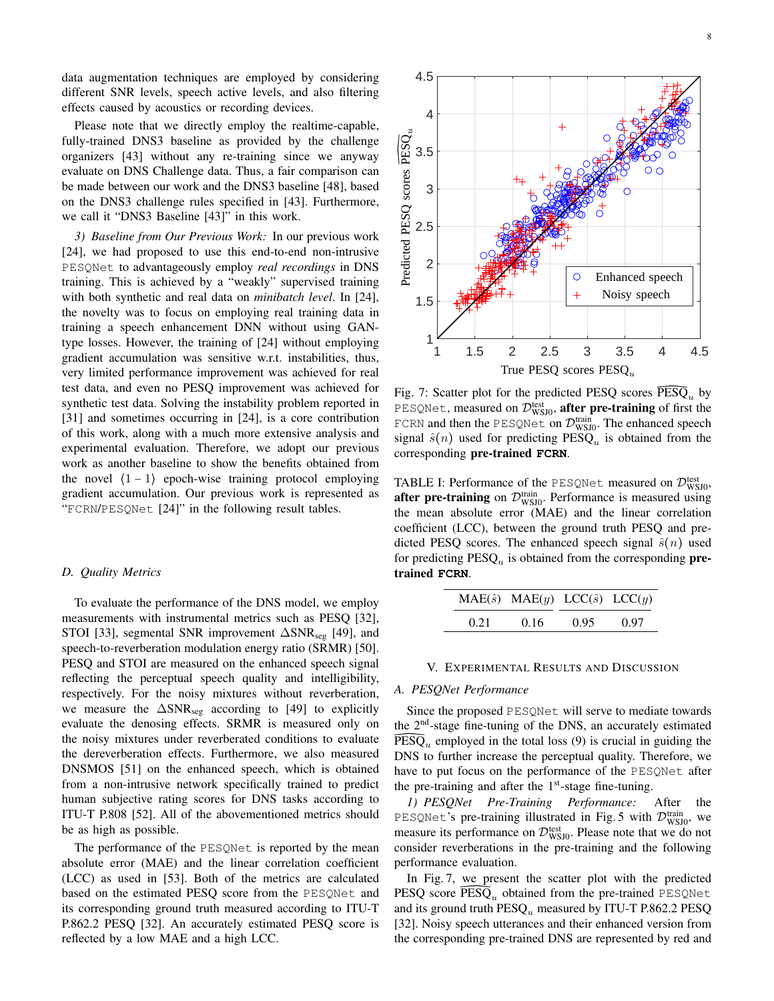data augmentation techniques are employed by considering different SNR levels, speech active levels, and also filtering effects caused by acoustics or recording devices.

Please note that we directly employ the realtime-capable, fully-trained DNS3 baseline as provided by the challenge organizers [\[43\]](#page-12-24) without any re-training since we anyway evaluate on DNS Challenge data. Thus, a fair comparison can be made between our work and the DNS3 baseline [\[48\]](#page-12-29), based on the DNS3 challenge rules specified in [\[43\]](#page-12-24). Furthermore, we call it "DNS3 Baseline [\[43\]](#page-12-24)" in this work.

*3) Baseline from Our Previous Work:* In our previous work [\[24\]](#page-12-0), we had proposed to use this end-to-end non-intrusive PESQNet to advantageously employ *real recordings* in DNS training. This is achieved by a "weakly" supervised training with both synthetic and real data on *minibatch level*. In [\[24\]](#page-12-0), the novelty was to focus on employing real training data in training a speech enhancement DNN without using GANtype losses. However, the training of [\[24\]](#page-12-0) without employing gradient accumulation was sensitive w.r.t. instabilities, thus, very limited performance improvement was achieved for real test data, and even no PESQ improvement was achieved for synthetic test data. Solving the instability problem reported in [\[31\]](#page-12-9) and sometimes occurring in [\[24\]](#page-12-0), is a core contribution of this work, along with a much more extensive analysis and experimental evaluation. Therefore, we adopt our previous work as another baseline to show the benefits obtained from the novel  $(1 - 1)$  epoch-wise training protocol employing gradient accumulation. Our previous work is represented as "FCRN/PESQNet [\[24\]](#page-12-0)" in the following result tables.

## *D. Quality Metrics*

To evaluate the performance of the DNS model, we employ measurements with instrumental metrics such as PESQ [\[32\]](#page-12-11), STOI [\[33\]](#page-12-12), segmental SNR improvement ∆SNR<sub>seg</sub> [\[49\]](#page-12-30), and speech-to-reverberation modulation energy ratio (SRMR) [\[50\]](#page-12-31). PESQ and STOI are measured on the enhanced speech signal reflecting the perceptual speech quality and intelligibility, respectively. For the noisy mixtures without reverberation, we measure the ∆SNR<sub>seg</sub> according to [\[49\]](#page-12-30) to explicitly evaluate the denosing effects. SRMR is measured only on the noisy mixtures under reverberated conditions to evaluate the dereverberation effects. Furthermore, we also measured DNSMOS [\[51\]](#page-12-32) on the enhanced speech, which is obtained from a non-intrusive network specifically trained to predict human subjective rating scores for DNS tasks according to ITU-T P.808 [\[52\]](#page-12-33). All of the abovementioned metrics should be as high as possible.

The performance of the PESQNet is reported by the mean absolute error (MAE) and the linear correlation coefficient (LCC) as used in [\[53\]](#page-12-34). Both of the metrics are calculated based on the estimated PESQ score from the PESQNet and its corresponding ground truth measured according to ITU-T P.862.2 PESQ [\[32\]](#page-12-11). An accurately estimated PESQ score is reflected by a low MAE and a high LCC.

<span id="page-7-0"></span>

Fig. 7: Scatter plot for the predicted PESQ scores  $\widehat{\mathrm{PESQ}}_u$  by PESQNet, measured on  $\mathcal{D}_{\text{WSJ0}}^{\text{test}}$ , after pre-training of first the FCRN and then the PESQNet on  $\mathcal{D}_{\text{WSJ0}}^{\text{train}}$ . The enhanced speech signal  $\hat{s}(n)$  used for predicting PESQ<sub>u</sub> is obtained from the corresponding pre-trained **FCRN**.

<span id="page-7-1"></span>TABLE I: Performance of the PESQNet measured on  $\mathcal{D}_{\text{WSJ0}}^{\text{test}}$ , after pre-training on  $\mathcal{D}_{\text{WSJ0}}^{\text{train}}$ . Performance is measured using the mean absolute error (MAE) and the linear correlation coefficient (LCC), between the ground truth PESQ and predicted PESQ scores. The enhanced speech signal  $\hat{s}(n)$  used for predicting  $\text{PESQ}_u$  is obtained from the corresponding pretrained **FCRN**.

|      | $MAE(\hat{s})$ $MAE(y)$ $LCC(\hat{s})$ $LCC(y)$ |      |      |  |
|------|-------------------------------------------------|------|------|--|
| 0.21 | 0.16                                            | 0.95 | 0.97 |  |

## V. EXPERIMENTAL RESULTS AND DISCUSSION

## *A. PESQNet Performance*

Since the proposed PESQNet will serve to mediate towards the 2<sup>nd</sup>-stage fine-tuning of the DNS, an accurately estimated the  $2<sup>nd</sup>$ -stage fine-tuning of the DNS, an accurately estimated  $\widetilde{PESQ}_u$  employed in the total loss [\(9\)](#page-4-4) is crucial in guiding the DNS to further increase the perceptual quality. Therefore, we have to put focus on the performance of the PESQNet after the pre-training and after the  $1<sup>st</sup>$ -stage fine-tuning.

*1) PESQNet Pre-Training Performance:* After the PESQNet's pre-training illustrated in Fig. [5](#page-4-1) with  $\mathcal{D}_{\text{WSJ0}}^{\text{train}}$ , we measure its performance on  $\mathcal{D}_{\mathrm{WSJ0}}^{\mathrm{test}}$ . Please note that we do not consider reverberations in the pre-training and the following performance evaluation.

In Fig. [7,](#page-7-0) we present the scatter plot with the predicted PESQ score  $\text{PESQ}_u$  obtained from the pre-trained PESQNet and its ground truth  $\text{PESQ}_u$  measured by ITU-T P.862.2 PESQ [\[32\]](#page-12-11). Noisy speech utterances and their enhanced version from the corresponding pre-trained DNS are represented by red and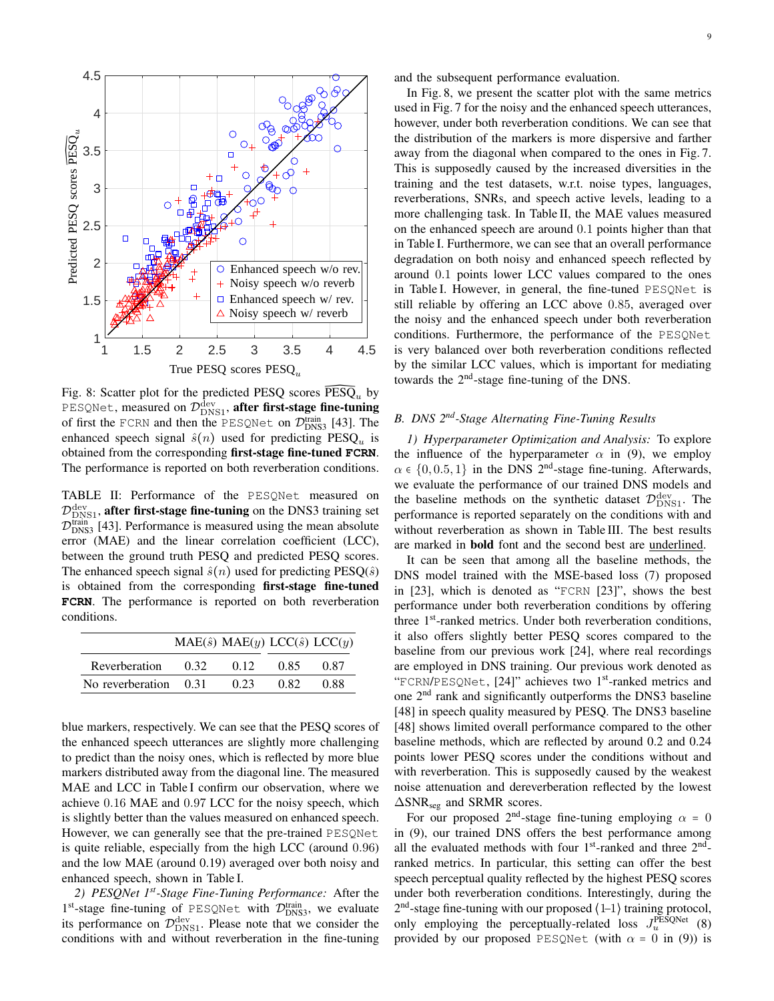<span id="page-8-0"></span>

Fig. 8: Scatter plot for the predicted PESQ scores  $\widehat{\mathrm{PESQ}}_u$  by PESQNet, measured on  $\mathcal{D}_{\text{DNS1}}^{\text{dev}},$  after first-stage fine-tuning of first the FCRN and then the PESQNet on  $\mathcal{D}_{DNS3}^{train}$  [\[43\]](#page-12-24). The enhanced speech signal  $\hat{s}(n)$  used for predicting PESQ<sub>u</sub> is obtained from the corresponding first-stage fine-tuned **FCRN**. The performance is reported on both reverberation conditions.

<span id="page-8-1"></span>TABLE II: Performance of the PESQNet measured on  $\mathcal{D}_{\text{DNS1}}^{\text{dev}},$  after first-stage fine-tuning on the DNS3 training set  $\mathcal{D}_{\text{DNS3}}^{\text{train}}$  [\[43\]](#page-12-24). Performance is measured using the mean absolute error (MAE) and the linear correlation coefficient (LCC), between the ground truth PESQ and predicted PESQ scores. The enhanced speech signal  $\hat{s}(n)$  used for predicting PESQ( $\hat{s}$ ) is obtained from the corresponding first-stage fine-tuned **FCRN**. The performance is reported on both reverberation conditions.

|                  |      | $MAE(\hat{s}) MAE(y) LCC(\hat{s}) LCC(y)$ |      |      |
|------------------|------|-------------------------------------------|------|------|
| Reverberation    | 0.32 | 0.12                                      | 0.85 | 0.87 |
| No reverberation | 0.31 | 0.23                                      | 0.82 | 0.88 |

blue markers, respectively. We can see that the PESQ scores of the enhanced speech utterances are slightly more challenging to predict than the noisy ones, which is reflected by more blue markers distributed away from the diagonal line. The measured MAE and LCC in Table [I](#page-7-1) confirm our observation, where we achieve 0.16 MAE and 0.97 LCC for the noisy speech, which is slightly better than the values measured on enhanced speech. However, we can generally see that the pre-trained PESQNet is quite reliable, especially from the high LCC (around 0.96) and the low MAE (around 0.19) averaged over both noisy and enhanced speech, shown in Table [I.](#page-7-1)

*2) PESQNet 1st-Stage Fine-Tuning Performance:* After the  $1<sup>st</sup>$ -stage fine-tuning of PESQNet with  $\mathcal{D}_{DNS3}^{train}$ , we evaluate its performance on  $\mathcal{D}_{\text{DNS1}}^{\text{dev}}$ . Please note that we consider the conditions with and without reverberation in the fine-tuning and the subsequent performance evaluation.

In Fig. [8,](#page-8-0) we present the scatter plot with the same metrics used in Fig. [7](#page-7-0) for the noisy and the enhanced speech utterances, however, under both reverberation conditions. We can see that the distribution of the markers is more dispersive and farther away from the diagonal when compared to the ones in Fig. [7.](#page-7-0) This is supposedly caused by the increased diversities in the training and the test datasets, w.r.t. noise types, languages, reverberations, SNRs, and speech active levels, leading to a more challenging task. In Table [II,](#page-8-1) the MAE values measured on the enhanced speech are around 0.1 points higher than that in Table [I.](#page-7-1) Furthermore, we can see that an overall performance degradation on both noisy and enhanced speech reflected by around 0.1 points lower LCC values compared to the ones in Table [I.](#page-7-1) However, in general, the fine-tuned PESQNet is still reliable by offering an LCC above 0.85, averaged over the noisy and the enhanced speech under both reverberation conditions. Furthermore, the performance of the PESQNet is very balanced over both reverberation conditions reflected by the similar LCC values, which is important for mediating towards the 2nd-stage fine-tuning of the DNS.

# *B. DNS 2nd-Stage Alternating Fine-Tuning Results*

*1) Hyperparameter Optimization and Analysis:* To explore the influence of the hyperparameter  $\alpha$  in [\(9\)](#page-4-4), we employ  $\alpha \in \{0, 0.5, 1\}$  in the DNS 2<sup>nd</sup>-stage fine-tuning. Afterwards, we evaluate the performance of our trained DNS models and the baseline methods on the synthetic dataset  $\mathcal{D}_{\text{DNS1}}^{\text{dev}}$ . The performance is reported separately on the conditions with and without reverberation as shown in Table [III.](#page-9-0) The best results are marked in bold font and the second best are underlined.

It can be seen that among all the baseline methods, the DNS model trained with the MSE-based loss [\(7\)](#page-4-3) proposed in [\[23\]](#page-12-7), which is denoted as "FCRN [\[23\]](#page-12-7)", shows the best performance under both reverberation conditions by offering three  $1<sup>st</sup>$ -ranked metrics. Under both reverberation conditions, it also offers slightly better PESQ scores compared to the baseline from our previous work [\[24\]](#page-12-0), where real recordings are employed in DNS training. Our previous work denoted as "FCRN/PESQNet, [\[24\]](#page-12-0)" achieves two 1st-ranked metrics and one 2nd rank and significantly outperforms the DNS3 baseline [\[48\]](#page-12-29) in speech quality measured by PESQ. The DNS3 baseline [\[48\]](#page-12-29) shows limited overall performance compared to the other baseline methods, which are reflected by around 0.2 and 0.24 points lower PESQ scores under the conditions without and with reverberation. This is supposedly caused by the weakest noise attenuation and dereverberation reflected by the lowest  $\Delta$ SNR<sub>seg</sub> and SRMR scores.

For our proposed  $2<sup>nd</sup>$ -stage fine-tuning employing  $\alpha = 0$ in [\(9\)](#page-4-4), our trained DNS offers the best performance among all the evaluated methods with four  $1<sup>st</sup>$ -ranked and three  $2<sup>nd</sup>$ ranked metrics. In particular, this setting can offer the best speech perceptual quality reflected by the highest PESQ scores under both reverberation conditions. Interestingly, during the  $2<sup>nd</sup>$ -stage fine-tuning with our proposed  $\langle 1-1 \rangle$  training protocol, only employing the perceptually-related loss  $J_u^{\text{PESQNet}}$  [\(8\)](#page-4-5) provided by our proposed PESQNet (with  $\alpha = 0$  in [\(9\)](#page-4-4)) is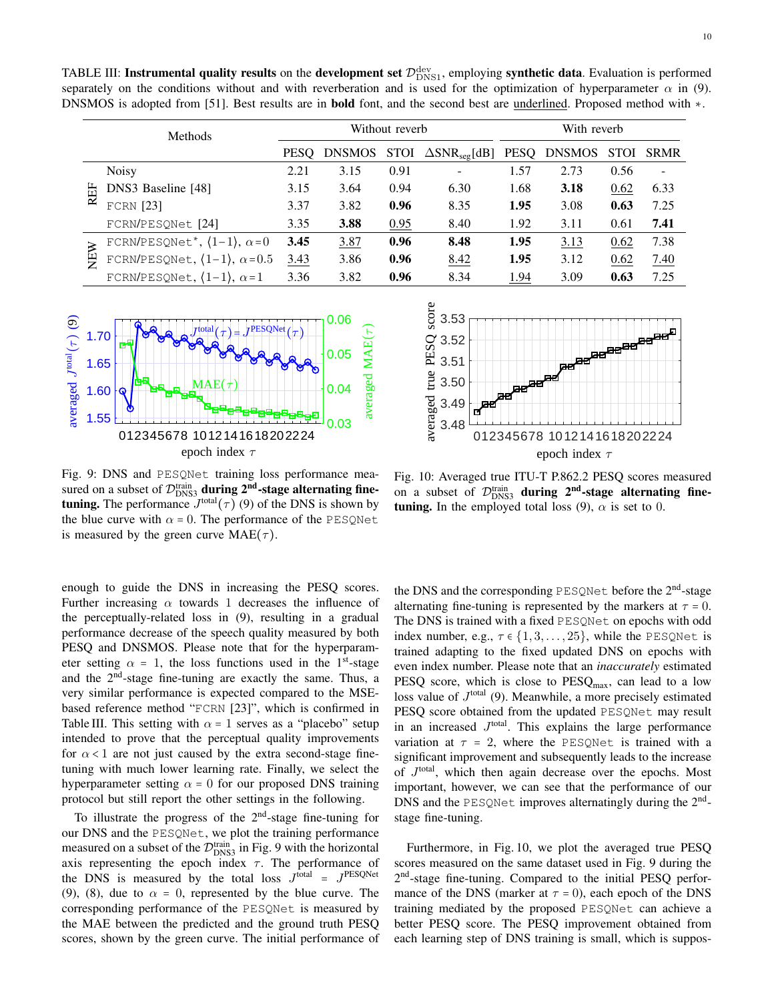<span id="page-9-0"></span>TABLE III: Instrumental quality results on the development set  $\mathcal{D}_{\text{DNS1}}^{\text{dev}}$ , employing synthetic data. Evaluation is performed separately on the conditions without and with reverberation and is used for the optimization of hyperparameter  $\alpha$  in [\(9\)](#page-4-4). DNSMOS is adopted from [\[51\]](#page-12-32). Best results are in **bold** font, and the second best are underlined. Proposed method with  $\star$ .

|        | <b>Methods</b>                         | Without reverb |               |             | With reverb                      |      |               |             |                          |
|--------|----------------------------------------|----------------|---------------|-------------|----------------------------------|------|---------------|-------------|--------------------------|
|        |                                        | <b>PESO</b>    | <b>DNSMOS</b> | <b>STOI</b> | $\Delta$ SNR <sub>seg</sub> [dB] | PESQ | <b>DNSMOS</b> | <b>STOI</b> | <b>SRMR</b>              |
|        | <b>Noisy</b>                           | 2.21           | 3.15          | 0.91        |                                  | 1.57 | 2.73          | 0.56        | $\overline{\phantom{a}}$ |
| REF    | DNS3 Baseline [48]                     | 3.15           | 3.64          | 0.94        | 6.30                             | 1.68 | 3.18          | 0.62        | 6.33                     |
|        | $FCRN$ [23]                            | 3.37           | 3.82          | 0.96        | 8.35                             | 1.95 | 3.08          | 0.63        | 7.25                     |
|        | FCRN/PESQNet [24]                      | 3.35           | 3.88          | 0.95        | 8.40                             | 1.92 | 3.11          | 0.61        | 7.41                     |
| $\geq$ | FCRN/PESQNet*, $(1-1)$ , $\alpha = 0$  | 3.45           | 3.87          | 0.96        | 8.48                             | 1.95 | 3.13          | 0.62        | 7.38                     |
| 円      | FCRN/PESQNet, $(1-1)$ , $\alpha = 0.5$ | 3.43           | 3.86          | 0.96        | 8.42                             | 1.95 | 3.12          | 0.62        | 7.40                     |
|        | FCRN/PESQNet, $(1-1)$ , $\alpha = 1$   | 3.36           | 3.82          | 0.96        | 8.34                             | 1.94 | 3.09          | 0.63        | 7.25                     |

<span id="page-9-1"></span>

is measured by the green curve  $MAE(\tau)$ . the blue curve with  $\alpha = 0$ . The performance of the PESQNet tuning. The performance  $J^{\text{total}}(\tau)$  [\(9\)](#page-4-4) of the DNS is shown by Fig. 9: DNS and PESQNet training loss performance measured on a subset of  $\mathcal{D}_{\text{DNS}}^{\text{train}}$  during  $2^{\text{nd}}$ -stage alternating fine-

guide the  $DNS$  in increasing the  $P$ enough to guide the DNS in increasing the PESQ scores. Further increasing  $\alpha$  towards 1 decreases the influence of performance decrease of the speech quality measured by both tuning with much lower learning rate. Finally, we select thy perparameter setting  $\alpha = 0$  for our proposed DNS training protocol but still report the other settings in the following. tuning with much lower learning rate. Finally, we select the intended to prove that the perceptual quality improvements Table [III.](#page-9-0) This setting with  $\alpha = 1$  serves as a "placebo" setup ased reference method "FCRN [23]", which is confirm<br>able III. This setting with  $\alpha = 1$  serves as a "placebo" intended to prove that the perceptual quality improvements<br>for  $\alpha < 1$  are not just caused by the extra second-stage finel in<br>tup<br>nts<br>ne-<br>the<br>ing based reference method "FCRN [\[23\]](#page-12-7)", which is confirmed in Table III. This setting with  $\alpha$  = 1 serves as a "placebo" setup the perceptually-related loss in [\(9\)](#page-4-4), resulting in a gradual PESQ and DNSMOS. Please note that for the hyperparameter setting  $\alpha = 1$ , the loss functions used in the 1<sup>st</sup>-stage and the 2nd-stage fine-tuning are exactly the same. Thus, a very similar performance is expected compared to the MSEhyperparameter setting  $\alpha = 0$  for our proposed DNS training

To illustrate the progress of the  $2<sup>nd</sup>$ -stage fine-tuning for scores, shown by the green curve. The initial performance of the MAE between the predicted and the ground truth PESQ [\(9\)](#page-4-4), [\(8\)](#page-4-5), due to  $\alpha = 0$ , represented by the blue curve. The the DNS is measured by the total loss  $J<sup>total</sup> = J<sup>PESQNet</sup>$ axis representing the epoch index  $\tau$ . The performance of eas<br>is<br>e Pespera<br>e Pespera<br>ore our DNS and the PESQNet, we plot the training performance measured on a subset of the  $\mathcal{D}_{\text{DNS3}}^{\text{train}}$  in Fig. [9](#page-9-1) with the horizontal corresponding performance of the PESQNet is measured by

<span id="page-9-2"></span>

tuning. In the employed total loss [\(9\)](#page-4-4),  $\alpha$  is set to 0. Fig. 10: Averaged true ITU-T P.862.2 PESQ scores measured on a subset of  $\mathcal{D}_{\text{DNS3}}^{\text{train}}$  during  $2^{\text{nd}}$ -stage alternating fine-

 $\sum_{i=1}^{n}$ the DNS and the corresponding PESQNet before the 2<sup>nd</sup>-stage *diternating fine-tuning is represented by the markers at*  $\tau = 0$ . The DNS is trained with a fixed PESQNet on epochs with odd (ITU-T), OCT. 2017. index number, e.g.,  $\tau \in \{1, 3, \ldots, 25\}$ , while the PESQNet is trained adapting to the fixed updated DNS on epochs with even index number. Please note that an *inaccurately* estimated *PESQ score, which is close to PESQ<sub>max</sub>, can lead to a low* loss value of  $J<sup>total</sup>$  [\(9\)](#page-4-4). Meanwhile, a more precisely estimated PESQ score obtained from the updated PESQNet may result in an increased  $J<sup>total</sup>$ . This explains the large performance variation at  $\tau = 2$ , where the PESQNet is trained with a significant improvement and subsequently leads to the increase of  $J<sup>total</sup>$ , which then again decrease over the epochs. Most important, however, we can see that the performance of our DNS and the PESQNet improves alternatingly during the  $2<sup>nd</sup>$ stage fine-tuning.

Furthermore, in Fig. [10,](#page-9-2) we plot the averaged true PESQ scores measured on the same dataset used in Fig. [9](#page-9-1) during the 2<sup>nd</sup>-stage fine-tuning. Compared to the initial PESQ performance of the DNS (marker at  $\tau = 0$ ), each epoch of the DNS training mediated by the proposed PESQNet can achieve a better PESQ score. The PESQ improvement obtained from each learning step of DNS training is small, which is suppos-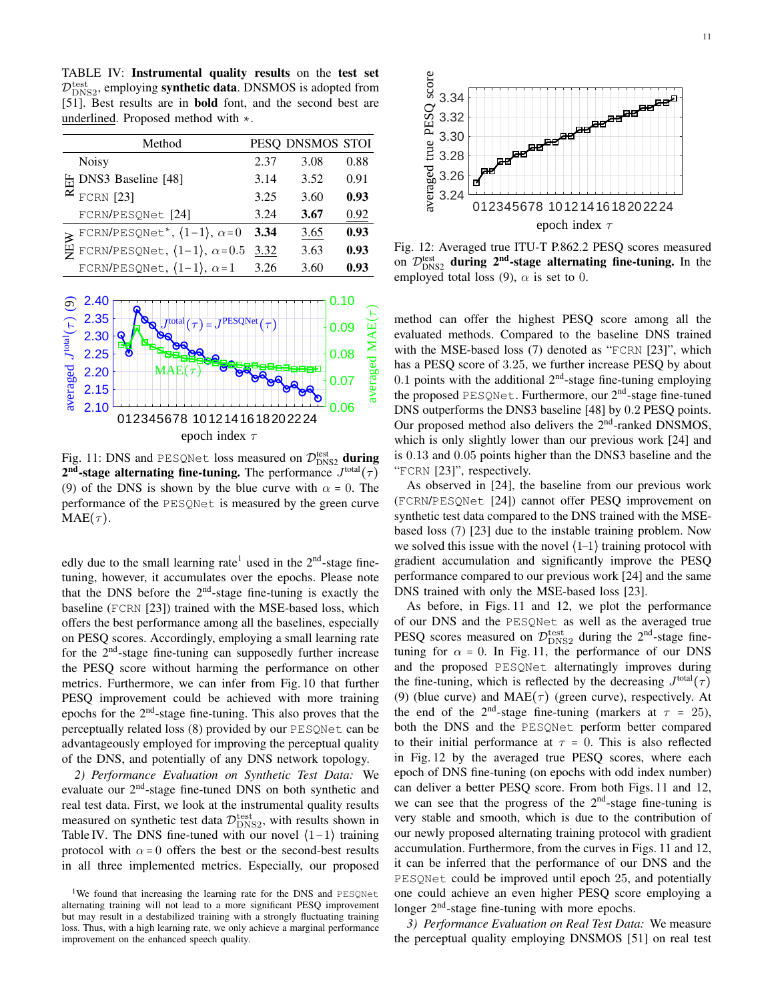TABLE IV: Instrumental quality results on the test set  $\mathcal{D}_{\text{DNS2}}^{\text{test}}$ , employing **synthetic data**. DNSMOS is adopted from [\[51\]](#page-12-32). Best results are in **bold** font, and the second best are underlined. Proposed method with ∗. AB<br>ptes<br>51]<br>nde

<span id="page-10-0"></span>

|  | Method                                                                                                            |      | PESQ DNSMOS STOI |      |
|--|-------------------------------------------------------------------------------------------------------------------|------|------------------|------|
|  | <b>Noisy</b>                                                                                                      | 2.37 | 3.08             | 0.88 |
|  | DNS3 Baseline [48]                                                                                                | 3.14 | 3.52             | 0.91 |
|  | <b>FCRN</b> [23]                                                                                                  | 3.25 | 3.60             | 0.93 |
|  | FCRN/PESQNet [24]                                                                                                 | 3.24 | 3.67             | 0.92 |
|  | $\sum_{\substack{\text{H} \\ \text{H} \\ \text{H}}} \text{FCRN/PESQNet}^*, \, \langle 1-1 \rangle, \, \alpha=0.5$ | 3.34 | 3.65             | 0.93 |
|  |                                                                                                                   | 3.32 | 3.63             | 0.93 |
|  | FCRN/PESQNet, $(1-1)$ , $\alpha=1$                                                                                | 3.26 | 3.60             | 0.93 |
|  |                                                                                                                   |      |                  |      |

<span id="page-10-1"></span>

 $\overline{\phantom{a}}$ performance of the PESQNet is measured by the green curve [\(9\)](#page-4-4) of the DNS is shown by the blue curve with  $\alpha = 0$ . The  $2^{nd}$ -stage alternating fine-tuning. The performance  $J^{\text{total}}(\tau)$  $MAE(\tau)$ . Fig. 11: DNS and PESQNet loss measured on  $\mathcal{D}_{\text{DNS2}}^{\text{test}}$  during

tuning, however, it accumulates over the epochs. Please note edly due to the small learning rate<sup>[1](#page-0-0)</sup> used in the  $2<sup>nd</sup>$ -stage finethat the DNS before the  $2<sup>nd</sup>$ -stage fine-tuning is exactly the offers the best performance among all the baselines, especially baseline (FCRN [\[23\]](#page-12-7)) trained with the MSE-based loss, which on PESQ scores. Accordingly, employing a small learning rate for the  $2<sup>nd</sup>$ -stage fine-tuning can supposedly further increase the PESQ score without harming the performance on other metrics. Furthermore, we can infer from Fig. [10](#page-9-2) that further PESQ improvement could be achieved with more training epochs for the  $2<sup>nd</sup>$ -stage fine-tuning. This also proves that the perceptually related loss [\(8\)](#page-4-5) provided by our PESQNet can be advantageously employed for improving the perceptual quality of the DNS, and potentially of any DNS network topology.

*2) Performance Evaluation on Synthetic Test Data:* We evaluate our 2nd-stage fine-tuned DNS on both synthetic and real test data. First, we look at the instrumental quality results measured on synthetic test data  $\mathcal{D}_{\text{DNS2}}^{\text{test}}$ , with results shown in Table [IV.](#page-10-0) The DNS fine-tuned with our novel  $(1-1)$  training protocol with  $\alpha = 0$  offers the best or the second-best results in all three implemented metrics. Especially, our proposed

<span id="page-10-2"></span>

Fig. 12: Averaged true ITU-T P.862.2 PESQ scores measured on  $\mathcal{D}_{\text{DNS2}}^{\text{test}}$  during  $2^{\text{nd}}$ -stage alternating fine-tuning. In the employed total loss [\(9\)](#page-4-4),  $\alpha$  is set to 0.

2.20 "FCRN [\[23\]](#page-12-7)", respectively. Our proposed memod also derivers the  $2^{\circ}$ -rained DIV3MO3, which is only slightly lower than our previous work [\[24\]](#page-12-0) and DNS outperforms the DNS3 baseline  $[48]$  by 0.2 PESQ points.<br>Our proposed method also delivers the  $2<sup>nd</sup>$ -ranked DNSMOS, DNS outperforms the DNS3 baseline [\[48\]](#page-12-29) by 0.2 PESQ points. the proposed PESQNet. Furthermore, our 2<sup>nd</sup>-stage fine-tuned<br>DNS outperforms the DNS3 baseline [48] by 0.2 PESQ points.  $\text{CRN}$  [23]", respectively.<br>
As observed in [\[24\]](#page-12-0), the baseline from our previous work<br>  $\text{CRN/DESOMot}$  [24]), cannot offer PESO improvement on is  $0.13$  and  $0.05$  points higher than the DNS3 baseline and the " $FCBN$  [23]" respectively method can offer the highest PESQ score among all the evaluated methods. Compared to the baseline DNS trained with the MSE-based loss [\(7\)](#page-4-3) denoted as "FCRN [\[23\]](#page-12-7)", which has a PESQ score of 3.25, we further increase PESQ by about 0.1 points with the additional  $2<sup>nd</sup>$ -stage fine-tuning employing

synthetic test data compared to the DNS trained with the MSE-(FCRN/PESQNet [\[24\]](#page-12-0)) cannot offer PESQ improvement on -- 1 ,<br>0erve 3.32 performance compared to our previous work [\[24\]](#page-12-0) and the same gradient accumulation and significantly improve the PESQ based loss  $(7)$  [\[23\]](#page-12-7) due to the instable training problem. Now we solved this issue with the novel  $(1-1)$  training protocol with DNS trained with only the MSE-based loss [\[23\]](#page-12-7).

and the proposed PESQNet alternatingly improves during tuning for  $\alpha = 0$ . In Fig. [11,](#page-10-1) the performance of our DNS PESQ scores measured on  $\mathcal{D}_{\text{DNS2}}^{\text{test}}$  during the  $2^{\text{nd}}$ -stage fineof our DNS and the PESQNet as well as the averaged true As before, in Figs. [11](#page-10-1) and [12,](#page-10-2) we plot the performance the fine-tuning, which is reflected by the decreasing  $J^{\text{total}}(\tau)$ the end of the 2<sup>nd</sup>-stage fine-tuning (markers at  $\tau = 25$ ), [\(9\)](#page-4-4) (blue curve) and  $MAE(\tau)$  (green curve), respectively. At both the DNS and the PESQNet perform better compared to their initial performance at  $\tau = 0$ . This is also reflected in Fig. [12](#page-10-2) by the averaged true PESQ scores, where each epoch of DNS fine-tuning (on epochs with odd index number) can deliver a better PESQ score. From both Figs. [11](#page-10-1) and [12,](#page-10-2) we can see that the progress of the  $2<sup>nd</sup>$ -stage fine-tuning is very stable and smooth, which is due to the contribution of our newly proposed alternating training protocol with gradient accumulation. Furthermore, from the curves in Figs. [11](#page-10-1) and [12,](#page-10-2) it can be inferred that the performance of our DNS and the PESQNet could be improved until epoch 25, and potentially one could achieve an even higher PESQ score employing a longer  $2<sup>nd</sup>$ -stage fine-tuning with more epochs.

*3) Performance Evaluation on Real Test Data:* We measure the perceptual quality employing DNSMOS [\[51\]](#page-12-32) on real test

<sup>&</sup>lt;sup>1</sup>We found that increasing the learning rate for the DNS and PESQNet alternating training will not lead to a more significant PESQ improvement but may result in a destabilized training with a strongly fluctuating training loss. Thus, with a high learning rate, we only achieve a marginal performance improvement on the enhanced speech quality.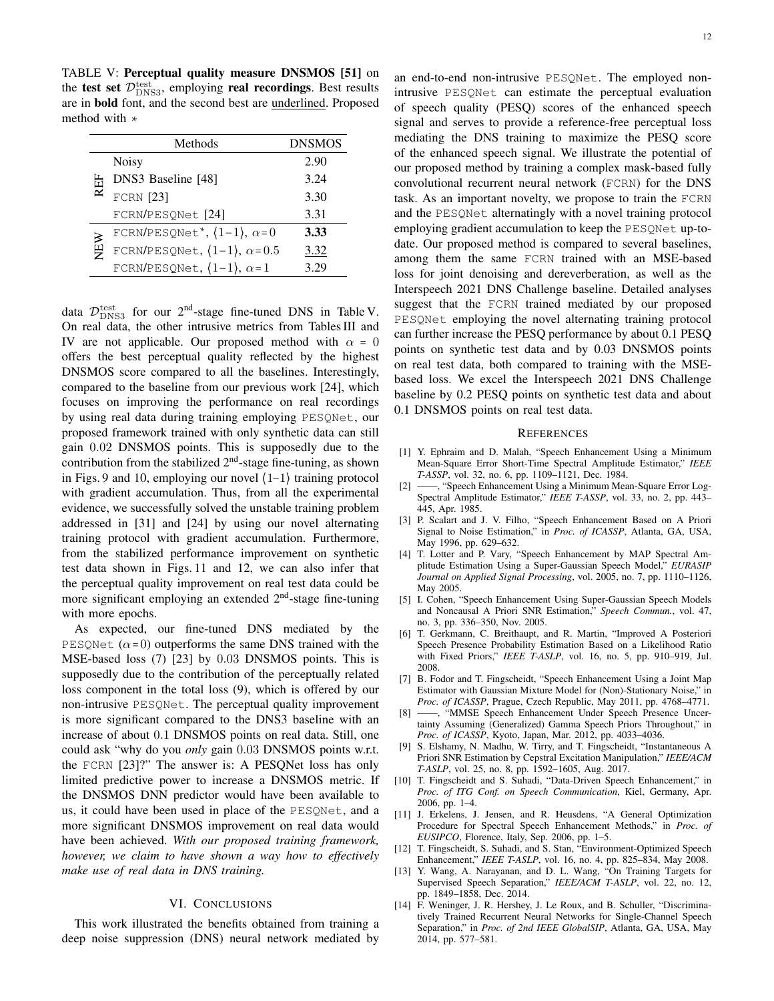<span id="page-11-5"></span>TABLE V: Perceptual quality measure DNSMOS [\[51\]](#page-12-32) on the test set  $\mathcal{D}_{\text{DNS3}}^{\text{test}}$ , employing real recordings. Best results are in bold font, and the second best are underlined. Proposed method with ∗

|     | Methods                                | <b>DNSMOS</b> |
|-----|----------------------------------------|---------------|
|     | <b>Noisy</b>                           | 2.90          |
| REF | DNS3 Baseline [48]                     | 3.24          |
|     | <b>FCRN</b> [23]                       | 3.30          |
|     | FCRN/PESQNet [24]                      | 3.31          |
|     | FCRN/PESQNet*, $(1-1)$ , $\alpha=0$    | 3.33          |
| NEW | FCRN/PESQNet, $(1-1)$ , $\alpha = 0.5$ | 3.32          |
|     | FCRN/PESQNet, $(1-1)$ , $\alpha=1$     |               |

data  $\mathcal{D}_{\text{DNS3}}^{\text{test}}$  for our  $2^{\text{nd}}$ -stage fine-tuned DNS in Table [V.](#page-11-5) On real data, the other intrusive metrics from Tables[III](#page-9-0) and [IV](#page-10-0) are not applicable. Our proposed method with  $\alpha = 0$ offers the best perceptual quality reflected by the highest DNSMOS score compared to all the baselines. Interestingly, compared to the baseline from our previous work [\[24\]](#page-12-0), which focuses on improving the performance on real recordings by using real data during training employing PESQNet, our proposed framework trained with only synthetic data can still gain 0.02 DNSMOS points. This is supposedly due to the contribution from the stabilized  $2<sup>nd</sup>$ -stage fine-tuning, as shown in Figs. [9](#page-9-1) and [10,](#page-9-2) employing our novel ⟨1−1⟩ training protocol with gradient accumulation. Thus, from all the experimental evidence, we successfully solved the unstable training problem addressed in [\[31\]](#page-12-9) and [\[24\]](#page-12-0) by using our novel alternating training protocol with gradient accumulation. Furthermore, from the stabilized performance improvement on synthetic test data shown in Figs. [11](#page-10-1) and [12,](#page-10-2) we can also infer that the perceptual quality improvement on real test data could be more significant employing an extended 2<sup>nd</sup>-stage fine-tuning with more epochs.

As expected, our fine-tuned DNS mediated by the PESQNet  $(\alpha=0)$  outperforms the same DNS trained with the MSE-based loss [\(7\)](#page-4-3) [\[23\]](#page-12-7) by 0.03 DNSMOS points. This is supposedly due to the contribution of the perceptually related loss component in the total loss [\(9\)](#page-4-4), which is offered by our non-intrusive PESQNet. The perceptual quality improvement is more significant compared to the DNS3 baseline with an increase of about 0.1 DNSMOS points on real data. Still, one could ask "why do you *only* gain 0.03 DNSMOS points w.r.t. the FCRN [\[23\]](#page-12-7)?" The answer is: A PESQNet loss has only limited predictive power to increase a DNSMOS metric. If the DNSMOS DNN predictor would have been available to us, it could have been used in place of the PESQNet, and a more significant DNSMOS improvement on real data would have been achieved. *With our proposed training framework, however, we claim to have shown a way how to effectively make use of real data in DNS training.*

## VI. CONCLUSIONS

This work illustrated the benefits obtained from training a deep noise suppression (DNS) neural network mediated by

an end-to-end non-intrusive PESQNet. The employed nonintrusive PESQNet can estimate the perceptual evaluation of speech quality (PESQ) scores of the enhanced speech signal and serves to provide a reference-free perceptual loss mediating the DNS training to maximize the PESQ score of the enhanced speech signal. We illustrate the potential of our proposed method by training a complex mask-based fully convolutional recurrent neural network (FCRN) for the DNS task. As an important novelty, we propose to train the FCRN and the PESQNet alternatingly with a novel training protocol employing gradient accumulation to keep the PESQNet up-todate. Our proposed method is compared to several baselines, among them the same FCRN trained with an MSE-based loss for joint denoising and dereverberation, as well as the Interspeech 2021 DNS Challenge baseline. Detailed analyses suggest that the FCRN trained mediated by our proposed PESQNet employing the novel alternating training protocol can further increase the PESQ performance by about 0.1 PESQ points on synthetic test data and by 0.03 DNSMOS points on real test data, both compared to training with the MSEbased loss. We excel the Interspeech 2021 DNS Challenge baseline by 0.2 PESQ points on synthetic test data and about 0.1 DNSMOS points on real test data.

#### **REFERENCES**

- <span id="page-11-0"></span>[1] Y. Ephraim and D. Malah, "Speech Enhancement Using a Minimum Mean-Square Error Short-Time Spectral Amplitude Estimator," *IEEE T-ASSP*, vol. 32, no. 6, pp. 1109–1121, Dec. 1984.
- [2] ——, "Speech Enhancement Using a Minimum Mean-Square Error Log-Spectral Amplitude Estimator," *IEEE T-ASSP*, vol. 33, no. 2, pp. 443– 445, Apr. 1985.
- [3] P. Scalart and J. V. Filho, "Speech Enhancement Based on A Priori Signal to Noise Estimation," in *Proc. of ICASSP*, Atlanta, GA, USA, May 1996, pp. 629–632.
- [4] T. Lotter and P. Vary, "Speech Enhancement by MAP Spectral Amplitude Estimation Using a Super-Gaussian Speech Model," *EURASIP Journal on Applied Signal Processing*, vol. 2005, no. 7, pp. 1110–1126, May 2005.
- [5] I. Cohen, "Speech Enhancement Using Super-Gaussian Speech Models and Noncausal A Priori SNR Estimation," *Speech Commun.*, vol. 47, no. 3, pp. 336–350, Nov. 2005.
- [6] T. Gerkmann, C. Breithaupt, and R. Martin, "Improved A Posteriori Speech Presence Probability Estimation Based on a Likelihood Ratio with Fixed Priors," *IEEE T-ASLP*, vol. 16, no. 5, pp. 910–919, Jul. 2008.
- [7] B. Fodor and T. Fingscheidt, "Speech Enhancement Using a Joint Map Estimator with Gaussian Mixture Model for (Non)-Stationary Noise," in *Proc. of ICASSP*, Prague, Czech Republic, May 2011, pp. 4768–4771.
- [8] ——, "MMSE Speech Enhancement Under Speech Presence Uncertainty Assuming (Generalized) Gamma Speech Priors Throughout," in *Proc. of ICASSP*, Kyoto, Japan, Mar. 2012, pp. 4033–4036.
- <span id="page-11-1"></span>[9] S. Elshamy, N. Madhu, W. Tirry, and T. Fingscheidt, "Instantaneous A Priori SNR Estimation by Cepstral Excitation Manipulation," *IEEE/ACM T-ASLP*, vol. 25, no. 8, pp. 1592–1605, Aug. 2017.
- <span id="page-11-2"></span>[10] T. Fingscheidt and S. Suhadi, "Data-Driven Speech Enhancement," in *Proc. of ITG Conf. on Speech Communication*, Kiel, Germany, Apr. 2006, pp. 1–4.
- [11] J. Erkelens, J. Jensen, and R. Heusdens, "A General Optimization Procedure for Spectral Speech Enhancement Methods," in *Proc. of EUSIPCO*, Florence, Italy, Sep. 2006, pp. 1–5.
- <span id="page-11-3"></span>[12] T. Fingscheidt, S. Suhadi, and S. Stan, "Environment-Optimized Speech Enhancement," *IEEE T-ASLP*, vol. 16, no. 4, pp. 825–834, May 2008.
- <span id="page-11-4"></span>[13] Y. Wang, A. Narayanan, and D. L. Wang, "On Training Targets for Supervised Speech Separation," *IEEE/ACM T-ASLP*, vol. 22, no. 12, pp. 1849–1858, Dec. 2014.
- [14] F. Weninger, J. R. Hershey, J. Le Roux, and B. Schuller, "Discriminatively Trained Recurrent Neural Networks for Single-Channel Speech Separation," in *Proc. of 2nd IEEE GlobalSIP*, Atlanta, GA, USA, May 2014, pp. 577–581.